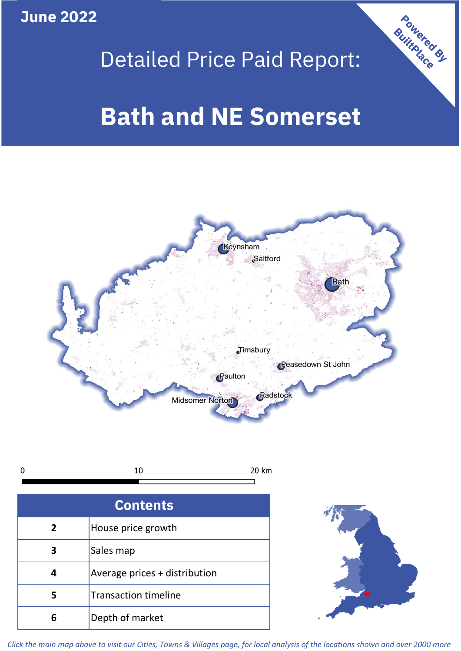**June 2022**

## Detailed Price Paid Report:

# **Bath and NE Somerset**



10  $\mathbf 0$ 20 km

| <b>Contents</b> |                               |  |  |
|-----------------|-------------------------------|--|--|
| $\mathbf{2}$    | House price growth            |  |  |
|                 | Sales map                     |  |  |
|                 | Average prices + distribution |  |  |
| 5               | <b>Transaction timeline</b>   |  |  |
| ĥ               | Depth of market               |  |  |



Powered By

*Click the main map above to visit our Cities, Towns & Villages page, for local analysis of the locations shown and over 2000 more*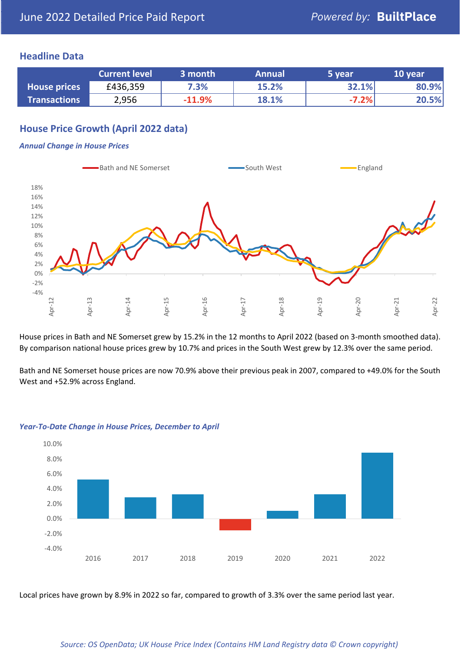### **Headline Data**

|                     | <b>Current level</b> | 3 month  | <b>Annual</b> | 5 year  | 10 year |
|---------------------|----------------------|----------|---------------|---------|---------|
| <b>House prices</b> | £436,359             | 7.3%     | 15.2%         | 32.1%   | 80.9%   |
| <b>Transactions</b> | 2,956                | $-11.9%$ | 18.1%         | $-7.2%$ | 20.5%   |

## **House Price Growth (April 2022 data)**

#### *Annual Change in House Prices*



House prices in Bath and NE Somerset grew by 15.2% in the 12 months to April 2022 (based on 3-month smoothed data). By comparison national house prices grew by 10.7% and prices in the South West grew by 12.3% over the same period.

Bath and NE Somerset house prices are now 70.9% above their previous peak in 2007, compared to +49.0% for the South West and +52.9% across England.



#### *Year-To-Date Change in House Prices, December to April*

Local prices have grown by 8.9% in 2022 so far, compared to growth of 3.3% over the same period last year.

#### *Source: OS OpenData; UK House Price Index (Contains HM Land Registry data © Crown copyright)*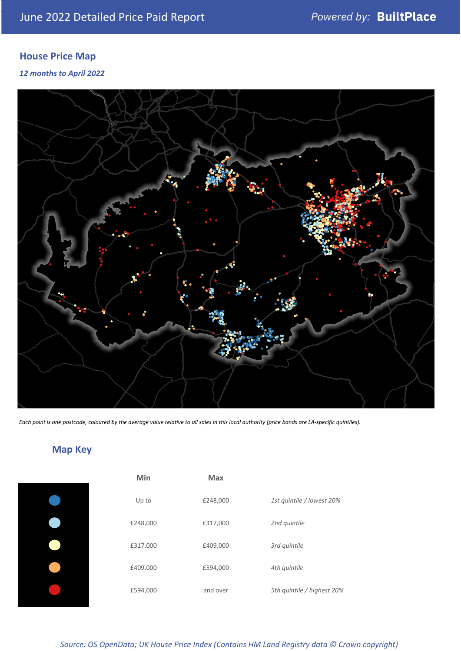## **House Price Map**

*12 months to April 2022*



*Each point is one postcode, coloured by the average value relative to all sales in this local authority (price bands are LA-specific quintiles).*

## **Map Key**

| Min      | <b>Max</b> |                            |
|----------|------------|----------------------------|
| Up to    | £248,000   | 1st quintile / lowest 20%  |
| £248,000 | £317,000   | 2nd quintile               |
| £317,000 | £409,000   | 3rd quintile               |
| £409,000 | £594,000   | 4th quintile               |
| £594,000 | and over   | 5th quintile / highest 20% |

*Source: OS OpenData; UK House Price Index (Contains HM Land Registry data © Crown copyright)*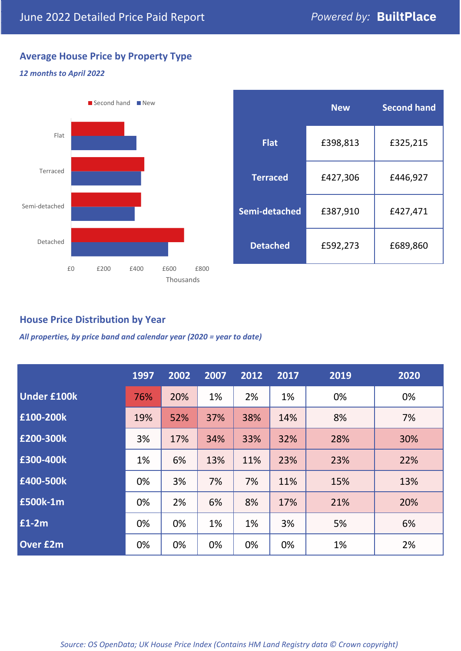## **Average House Price by Property Type**

### *12 months to April 2022*



|                 | <b>New</b> | <b>Second hand</b> |  |  |
|-----------------|------------|--------------------|--|--|
| <b>Flat</b>     | £398,813   | £325,215           |  |  |
| <b>Terraced</b> | £427,306   | £446,927           |  |  |
| Semi-detached   | £387,910   | £427,471           |  |  |
| <b>Detached</b> | £592,273   | £689,860           |  |  |

## **House Price Distribution by Year**

*All properties, by price band and calendar year (2020 = year to date)*

|                    | 1997 | 2002 | 2007 | 2012 | 2017 | 2019 | 2020 |
|--------------------|------|------|------|------|------|------|------|
| <b>Under £100k</b> | 76%  | 20%  | 1%   | 2%   | 1%   | 0%   | 0%   |
| £100-200k          | 19%  | 52%  | 37%  | 38%  | 14%  | 8%   | 7%   |
| E200-300k          | 3%   | 17%  | 34%  | 33%  | 32%  | 28%  | 30%  |
| £300-400k          | 1%   | 6%   | 13%  | 11%  | 23%  | 23%  | 22%  |
| £400-500k          | 0%   | 3%   | 7%   | 7%   | 11%  | 15%  | 13%  |
| <b>£500k-1m</b>    | 0%   | 2%   | 6%   | 8%   | 17%  | 21%  | 20%  |
| £1-2m              | 0%   | 0%   | 1%   | 1%   | 3%   | 5%   | 6%   |
| <b>Over £2m</b>    | 0%   | 0%   | 0%   | 0%   | 0%   | 1%   | 2%   |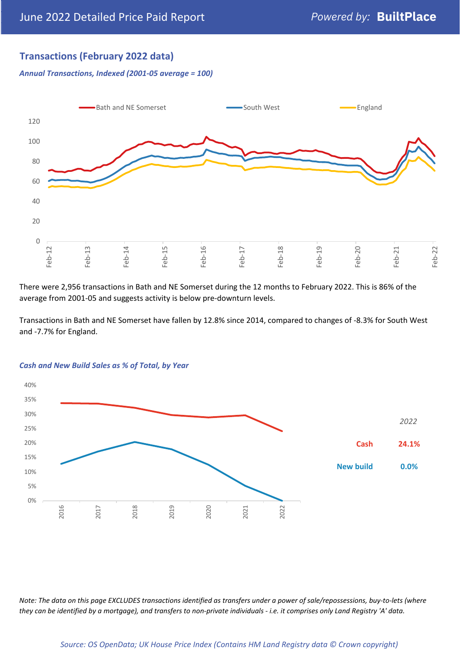## **Transactions (February 2022 data)**

*Annual Transactions, Indexed (2001-05 average = 100)*



There were 2,956 transactions in Bath and NE Somerset during the 12 months to February 2022. This is 86% of the average from 2001-05 and suggests activity is below pre-downturn levels.

Transactions in Bath and NE Somerset have fallen by 12.8% since 2014, compared to changes of -8.3% for South West and -7.7% for England.



#### *Cash and New Build Sales as % of Total, by Year*

*Note: The data on this page EXCLUDES transactions identified as transfers under a power of sale/repossessions, buy-to-lets (where they can be identified by a mortgage), and transfers to non-private individuals - i.e. it comprises only Land Registry 'A' data.*